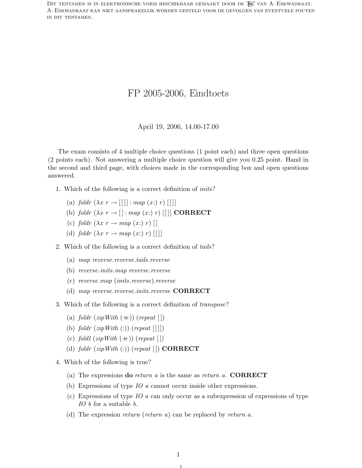DIT TENTAMEN IS IN ELEKTRONISCHE VORM BESCHIKBAAR GEMAAKT DOOR DE  $\mathcal{F}_{\beta}$ C van A–Eskwadraat. A–Eskwadraat kan niet aansprakelijk worden gesteld voor de gevolgen van eventuele fouten in dit tentamen.

# FP 2005-2006, Eindtoets

#### April 19, 2006, 14.00-17.00

The exam consists of 4 multiple choice questions (1 point each) and three open questions (2 points each). Not answering a multiple choice question will give you 0.25 point. Hand in the second and third page, with choices made in the corresponding box and open questions answered.

- 1. Which of the following is a correct definition of inits?
	- (a) foldr  $(\lambda x r \rightarrow [[\cdot]] : map(xr) r) [[\cdot]]$
	- (b) foldr  $(\lambda x \ r \rightarrow [] : map \ (x:) \ r) \ [[]] \ CORRECT$
	- (c) foldr  $(\lambda x r \rightarrow map (x: r)$  |
	- (d) foldr  $(\lambda x r \rightarrow map (x:) r)$  [[]]
- 2. Which of the following is a correct definition of tails?
	- (a) map reverse.reverse.tails.reverse
	- (b) reverse.inits.map reverse.reverse
	- (c) reverse.map (inits.reverse).reverse
	- (d) map reverse.reverse.inits.reverse CORRECT
- 3. Which of the following is a correct definition of transpose?
	- (a) foldr  $(zipWith (+))$  (repeat [])
	- (b) foldr  $(zipWith (:)$  (repeat  $[[ ] ])$
	- (c) foldl  $(zip\,With\ (+))$  (repeat [])
	- (d) foldr  $(zipWith (:)$  (repeat  $[]$ ) CORRECT
- 4. Which of the following is true?
	- (a) The expressions **do** return a is the same as return a. **CORRECT**
	- (b) Expressions of type IO a cannot occur inside other expressions.
	- (c) Expressions of type IO a can only occur as a subexpression of expressions of type IO b for a suitable b.
	- (d) The expression return (return a) can be replaced by return a.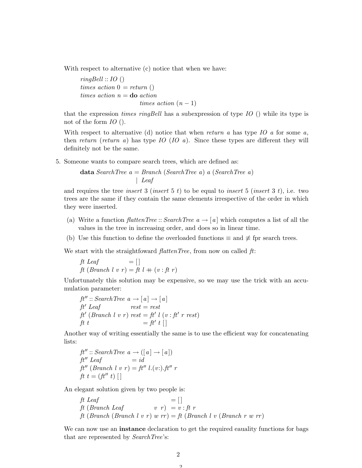With respect to alternative (c) notice that when we have:

 $ringBell :: IO()$ times action  $0 = return()$ times action  $n =$ **do** action times action  $(n-1)$ 

that the expression *times ringBell* has a subexpression of type  $IO$  () while its type is not of the form IO ().

With respect to alternative (d) notice that when return a has type  $IO$  a for some a, then return (return a) has type  $IO$  ( $IO$  a). Since these types are different they will definitely not be the same.

5. Someone wants to compare search trees, which are defined as:

$$
\textbf{data} \text{ SearchTree } a = \text{Branch} \text{ (SearchTree } a) \text{ a (SearchTree } a)
$$
\n
$$
\downarrow \text{Leaf}
$$

and requires the tree *insert* 3 (*insert* 5 t) to be equal to *insert* 5 (*insert* 3 t), i.e. two trees are the same if they contain the same elements irrespective of the order in which they were inserted.

- (a) Write a function *flattenTree* :: SearchTree  $a \rightarrow [a]$  which computes a list of all the values in the tree in increasing order, and does so in linear time.
- (b) Use this function to define the overloaded functions  $\equiv$  and  $\not\equiv$  fpr search trees.

We start with the straightfoward  $\text{flattenTree}$ , from now on called  $\text{ft}$ :

ft Leaf  $= []$ ft Dearch l v r =  $\iint$  l + (v : ft r)

Unfortunately this solution may be expensive, so we may use the trick with an accumulation parameter:

$$
ft' :: SearchTree \ a \rightarrow [a] \rightarrow [a]
$$
  
\n
$$
ft'Leaf \ \text{rest} = rest
$$
  
\n
$$
ft' (Branch \ l \ v \ r) \ rest = ft' \ l \ (v \ : ft' \ r \ rest)
$$
  
\n
$$
ft \ t = ft' \ t \ []
$$

Another way of writing essentially the same is to use the efficient way for concatenating lists:

```
ft'': SearchTree \, a \rightarrow (\lceil a \rceil \rightarrow \lceil a \rceil)ft" Leaf = idft" (Branch l v r) = ft" l.(v:).ft" r
ft t = (ft'' t) []
```
An elegant solution given by two people is:

$$
ft \text{ }Leaf \qquad \qquad = []
$$
\n
$$
ft \text{ } (Branch \text{ }Leaf \qquad v \text{ } r) \text{ } = v \text{ } : ft \text{ } r
$$
\n
$$
ft \text{ } (Branch \text{ } (Branch \text{ } l \text{ } v \text{ } r) \text{ } w \text{ } rr) = ft \text{ } (Branch \text{ } l \text{ } v \text{ } (Branch \text{ } r \text{ } w \text{ } rr)
$$

We can now use an **instance** declaration to get the required eauality functions for bags that are represented by *SearchTree's*: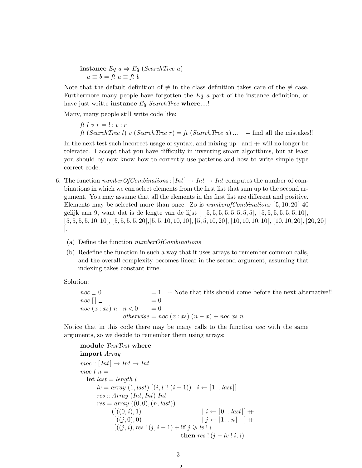instance  $Eq\ a \Rightarrow Eq\ (SearchTree\ a)$  $a \equiv b = ft \ a \equiv ft \ b$ 

Note that the default definition of  $\neq$  in the class definition takes care of the  $\neq$  case. Furthermore many people have forgotten the  $Eq$  a part of the instance definition, or have just writte instance  $Eq$  SearchTree where....!

Many, many people still write code like:

ft l v  $r = l : v : r$ ft (SearchTree l) v (SearchTree r) = ft (SearchTree a) ... -- find all the mistakes!!

In the next test such incorrect usage of syntax, and mixing  $up:$  and  $+$  will no longer be tolerated. I accept that you have difficulty in inventing smart algorithms, but at least you should by now know how to corrently use patterns and how to write simple type correct code.

- 6. The function *number Of Combinations* :  $[Int] \to Int \to Int$  computes the number of combinations in which we can select elements from the first list that sum up to the second argument. You may assume that all the elements in the first list are different and positive. Elements may be selected more than once. Zo is  $number of Combinations [5, 10, 20]$  40 gelijk aan 9, want dat is de lengte van de lijst [ [5, 5, 5, 5, 5, 5, 5, 5], [5, 5, 5, 5, 5, 5, 10],  $[5, 5, 5, 5, 10, 10], [5, 5, 5, 5, 20], [5, 5, 10, 10, 10], [5, 5, 10, 20], [10, 10, 10], [10, 10, 20], [20, 20]$ ].
	- (a) Define the function numberOfCombinations
	- (b) Redefine the function in such a way that it uses arrays to remember common calls, and the overall complexity becomes linear in the second argument, assuming that indexing takes constant time.

Solution:

 $noc = 0$  = 1 -- Note that this should come before the next alternative!!  $noc \mid \cdot \mid$  = 0  $noc(x:xs) n | n < 0 = 0$ | otherwise = noc  $(x : xs)$   $(n - x) + noc$  xs n

Notice that in this code there may be many calls to the function noc with the same arguments, so we decide to remember them using arrays:

```
module TestTest where
import Array
moc::[Int] \rightarrow Int \rightarrow Intmoc l n =let last = length llv = array (1, last) [(i, l]! (i-1)) | i ← [1..last]res :: Array (Int,Int) Intres = array ((0, 0), (n, last))(|((0, i), 1)|) |i \leftarrow [0..last]| +\[( (j, 0), 0) | j \leftarrow [1..n] | ++
            [((j, i), res : (j, i - 1) + \textbf{if } j \geq lv : ithen res ! (i - l v ! i, i)
```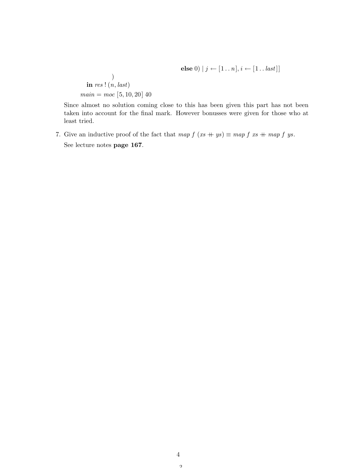else  $0 \mid j \leftarrow [1..n], i \leftarrow [1..last]]$ 

$$
\begin{array}{c}\n\textbf{in } res \text{! } (n, last) \\
\textbf{main} = \textbf{moc } [5, 10, 20] \text{ } 40\n\end{array}
$$

Since almost no solution coming close to this has been given this part has not been taken into account for the final mark. However bonusses were given for those who at least tried.

7. Give an inductive proof of the fact that  $map f (xs + ys) \equiv map f xs + map f ys$ . See lecture notes page 167.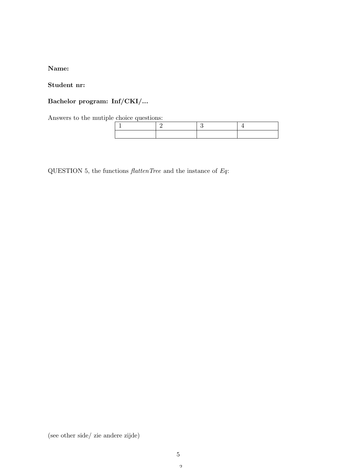### Name:

### Student nr:

## Bachelor program: Inf/CKI/...

Answers to the mutiple choice questions:

QUESTION 5, the functions  $\emph{flattenTree}$  and the instance of  $Eq:$ 

(see other side/ zie andere zijde)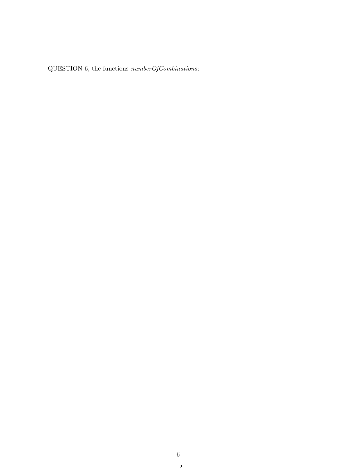QUESTION 6, the functions numberOfCombinations: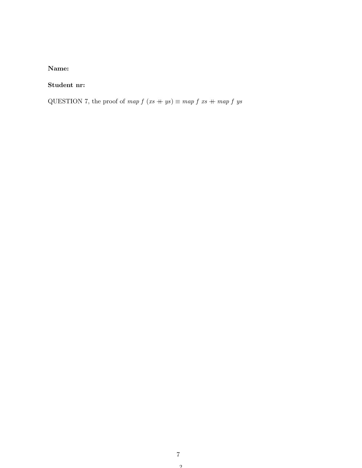### Name:

### Student nr:

QUESTION 7, the proof of map  $f (xs + ys) \equiv map f xs + map f ys$